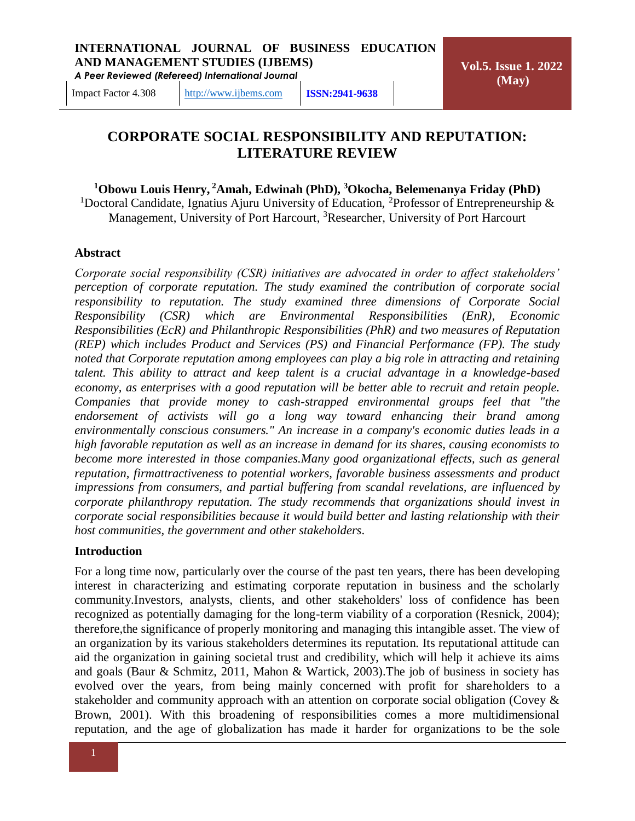**Vol.5. Issue 1. 2022 (May)**

Impact Factor 4.308 [http://www.ijbems.com](http://www.ijbems.com/) **ISSN:2941-9638**

# **CORPORATE SOCIAL RESPONSIBILITY AND REPUTATION: LITERATURE REVIEW**

#### **<sup>1</sup>Obowu Louis Henry, <sup>2</sup>Amah, Edwinah (PhD), <sup>3</sup>Okocha, Belemenanya Friday (PhD)**

<sup>1</sup>Doctoral Candidate, Ignatius Ajuru University of Education, <sup>2</sup>Professor of Entrepreneurship  $\&$ Management, University of Port Harcourt, <sup>3</sup>Researcher, University of Port Harcourt

#### **Abstract**

*Corporate social responsibility (CSR) initiatives are advocated in order to affect stakeholders' perception of corporate reputation. The study examined the contribution of corporate social responsibility to reputation. The study examined three dimensions of Corporate Social Responsibility (CSR) which are Environmental Responsibilities (EnR), Economic Responsibilities (EcR) and Philanthropic Responsibilities (PhR) and two measures of Reputation (REP) which includes Product and Services (PS) and Financial Performance (FP). The study noted that Corporate reputation among employees can play a big role in attracting and retaining talent. This ability to attract and keep talent is a crucial advantage in a knowledge-based economy, as enterprises with a good reputation will be better able to recruit and retain people. Companies that provide money to cash-strapped environmental groups feel that "the endorsement of activists will go a long way toward enhancing their brand among environmentally conscious consumers." An increase in a company's economic duties leads in a high favorable reputation as well as an increase in demand for its shares, causing economists to become more interested in those companies.Many good organizational effects, such as general reputation, firmattractiveness to potential workers, favorable business assessments and product impressions from consumers, and partial buffering from scandal revelations, are influenced by corporate philanthropy reputation. The study recommends that organizations should invest in corporate social responsibilities because it would build better and lasting relationship with their host communities, the government and other stakeholders*.

#### **Introduction**

For a long time now, particularly over the course of the past ten years, there has been developing interest in characterizing and estimating corporate reputation in business and the scholarly community.Investors, analysts, clients, and other stakeholders' loss of confidence has been recognized as potentially damaging for the long-term viability of a corporation (Resnick, 2004); therefore,the significance of properly monitoring and managing this intangible asset. The view of an organization by its various stakeholders determines its reputation. Its reputational attitude can aid the organization in gaining societal trust and credibility, which will help it achieve its aims and goals (Baur & Schmitz, 2011, Mahon & Wartick, 2003).The job of business in society has evolved over the years, from being mainly concerned with profit for shareholders to a stakeholder and community approach with an attention on corporate social obligation (Covey & Brown, 2001). With this broadening of responsibilities comes a more multidimensional reputation, and the age of globalization has made it harder for organizations to be the sole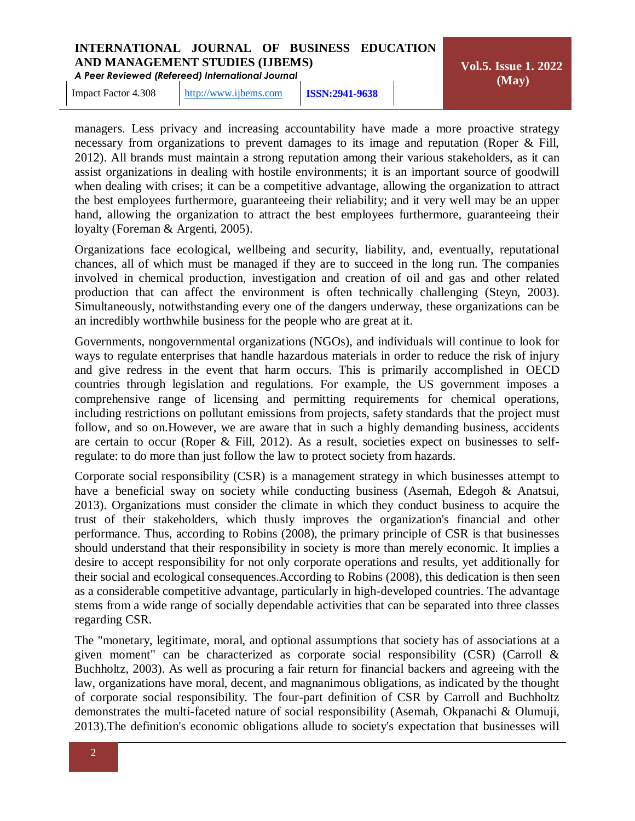*A Peer Reviewed (Refereed) International Journal*

**Vol.5. Issue 1. 2022 (May)**

Impact Factor 4.308 [http://www.ijbems.com](http://www.ijbems.com/) **ISSN:2941-9638**

managers. Less privacy and increasing accountability have made a more proactive strategy necessary from organizations to prevent damages to its image and reputation (Roper & Fill, 2012). All brands must maintain a strong reputation among their various stakeholders, as it can assist organizations in dealing with hostile environments; it is an important source of goodwill when dealing with crises; it can be a competitive advantage, allowing the organization to attract the best employees furthermore, guaranteeing their reliability; and it very well may be an upper hand, allowing the organization to attract the best employees furthermore, guaranteeing their loyalty (Foreman & Argenti, 2005).

Organizations face ecological, wellbeing and security, liability, and, eventually, reputational chances, all of which must be managed if they are to succeed in the long run. The companies involved in chemical production, investigation and creation of oil and gas and other related production that can affect the environment is often technically challenging (Steyn, 2003). Simultaneously, notwithstanding every one of the dangers underway, these organizations can be an incredibly worthwhile business for the people who are great at it.

Governments, nongovernmental organizations (NGOs), and individuals will continue to look for ways to regulate enterprises that handle hazardous materials in order to reduce the risk of injury and give redress in the event that harm occurs. This is primarily accomplished in OECD countries through legislation and regulations. For example, the US government imposes a comprehensive range of licensing and permitting requirements for chemical operations, including restrictions on pollutant emissions from projects, safety standards that the project must follow, and so on.However, we are aware that in such a highly demanding business, accidents are certain to occur (Roper & Fill, 2012). As a result, societies expect on businesses to selfregulate: to do more than just follow the law to protect society from hazards.

Corporate social responsibility (CSR) is a management strategy in which businesses attempt to have a beneficial sway on society while conducting business (Asemah, Edegoh & Anatsui, 2013). Organizations must consider the climate in which they conduct business to acquire the trust of their stakeholders, which thusly improves the organization's financial and other performance. Thus, according to Robins (2008), the primary principle of CSR is that businesses should understand that their responsibility in society is more than merely economic. It implies a desire to accept responsibility for not only corporate operations and results, yet additionally for their social and ecological consequences.According to Robins (2008), this dedication is then seen as a considerable competitive advantage, particularly in high-developed countries. The advantage stems from a wide range of socially dependable activities that can be separated into three classes regarding CSR.

The "monetary, legitimate, moral, and optional assumptions that society has of associations at a given moment" can be characterized as corporate social responsibility (CSR) (Carroll  $\&$ Buchholtz, 2003). As well as procuring a fair return for financial backers and agreeing with the law, organizations have moral, decent, and magnanimous obligations, as indicated by the thought of corporate social responsibility. The four-part definition of CSR by Carroll and Buchholtz demonstrates the multi-faceted nature of social responsibility (Asemah, Okpanachi & Olumuji, 2013).The definition's economic obligations allude to society's expectation that businesses will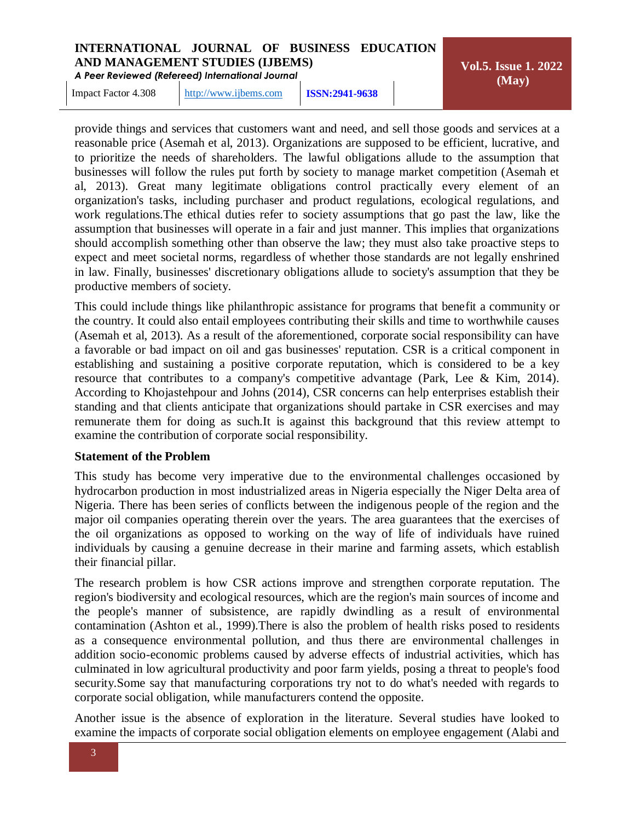*A Peer Reviewed (Refereed) International Journal*

**Vol.5. Issue 1. 2022 (May)**

Impact Factor 4.308 [http://www.ijbems.com](http://www.ijbems.com/) **ISSN:2941-9638**

provide things and services that customers want and need, and sell those goods and services at a reasonable price (Asemah et al, 2013). Organizations are supposed to be efficient, lucrative, and to prioritize the needs of shareholders. The lawful obligations allude to the assumption that businesses will follow the rules put forth by society to manage market competition (Asemah et al, 2013). Great many legitimate obligations control practically every element of an organization's tasks, including purchaser and product regulations, ecological regulations, and work regulations.The ethical duties refer to society assumptions that go past the law, like the assumption that businesses will operate in a fair and just manner. This implies that organizations should accomplish something other than observe the law; they must also take proactive steps to expect and meet societal norms, regardless of whether those standards are not legally enshrined in law. Finally, businesses' discretionary obligations allude to society's assumption that they be productive members of society.

This could include things like philanthropic assistance for programs that benefit a community or the country. It could also entail employees contributing their skills and time to worthwhile causes (Asemah et al, 2013). As a result of the aforementioned, corporate social responsibility can have a favorable or bad impact on oil and gas businesses' reputation. CSR is a critical component in establishing and sustaining a positive corporate reputation, which is considered to be a key resource that contributes to a company's competitive advantage (Park, Lee & Kim, 2014). According to Khojastehpour and Johns (2014), CSR concerns can help enterprises establish their standing and that clients anticipate that organizations should partake in CSR exercises and may remunerate them for doing as such.It is against this background that this review attempt to examine the contribution of corporate social responsibility.

# **Statement of the Problem**

This study has become very imperative due to the environmental challenges occasioned by hydrocarbon production in most industrialized areas in Nigeria especially the Niger Delta area of Nigeria. There has been series of conflicts between the indigenous people of the region and the major oil companies operating therein over the years. The area guarantees that the exercises of the oil organizations as opposed to working on the way of life of individuals have ruined individuals by causing a genuine decrease in their marine and farming assets, which establish their financial pillar.

The research problem is how CSR actions improve and strengthen corporate reputation. The region's biodiversity and ecological resources, which are the region's main sources of income and the people's manner of subsistence, are rapidly dwindling as a result of environmental contamination (Ashton et al., 1999).There is also the problem of health risks posed to residents as a consequence environmental pollution, and thus there are environmental challenges in addition socio-economic problems caused by adverse effects of industrial activities, which has culminated in low agricultural productivity and poor farm yields, posing a threat to people's food security.Some say that manufacturing corporations try not to do what's needed with regards to corporate social obligation, while manufacturers contend the opposite.

Another issue is the absence of exploration in the literature. Several studies have looked to examine the impacts of corporate social obligation elements on employee engagement (Alabi and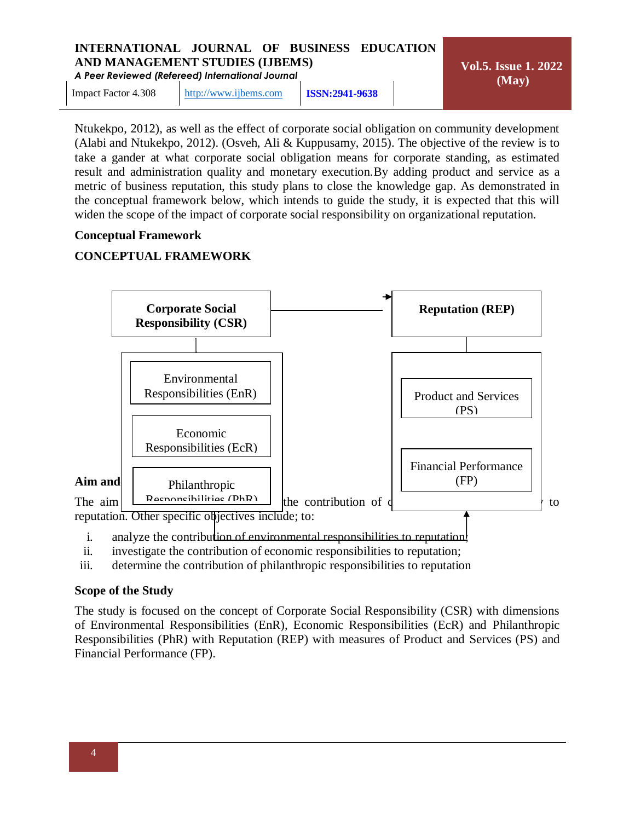*A Peer Reviewed (Refereed) International Journal*

Impact Factor 4.308 [http://www.ijbems.com](http://www.ijbems.com/) **ISSN:2941-9638**

**Vol.5. Issue 1. 2022 (May)**

Ntukekpo, 2012), as well as the effect of corporate social obligation on community development (Alabi and Ntukekpo, 2012). (Osveh, Ali & Kuppusamy, 2015). The objective of the review is to take a gander at what corporate social obligation means for corporate standing, as estimated result and administration quality and monetary execution.By adding product and service as a metric of business reputation, this study plans to close the knowledge gap. As demonstrated in the conceptual framework below, which intends to guide the study, it is expected that this will widen the scope of the impact of corporate social responsibility on organizational reputation.

# **Conceptual Framework**

# **CONCEPTUAL FRAMEWORK**



- i. analyze the contribution of environmental responsibilities to reputation!
- ii. investigate the contribution of economic responsibilities to reputation;
- iii. determine the contribution of philanthropic responsibilities to reputation

# **Scope of the Study**

The study is focused on the concept of Corporate Social Responsibility (CSR) with dimensions of Environmental Responsibilities (EnR), Economic Responsibilities (EcR) and Philanthropic Responsibilities (PhR) with Reputation (REP) with measures of Product and Services (PS) and Financial Performance (FP).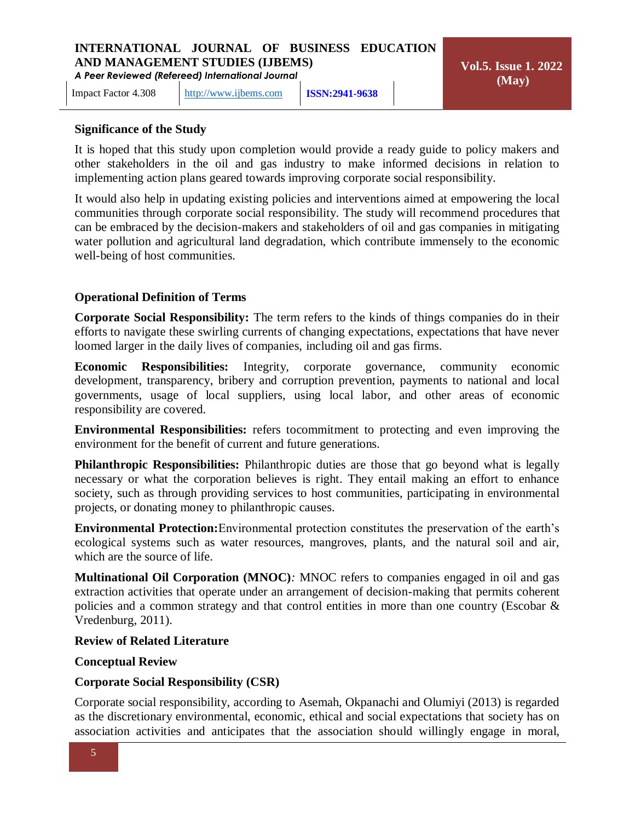Impact Factor 4.308 [http://www.ijbems.com](http://www.ijbems.com/) **ISSN:2941-9638**

# **Significance of the Study**

It is hoped that this study upon completion would provide a ready guide to policy makers and other stakeholders in the oil and gas industry to make informed decisions in relation to implementing action plans geared towards improving corporate social responsibility.

It would also help in updating existing policies and interventions aimed at empowering the local communities through corporate social responsibility. The study will recommend procedures that can be embraced by the decision-makers and stakeholders of oil and gas companies in mitigating water pollution and agricultural land degradation, which contribute immensely to the economic well-being of host communities.

# **Operational Definition of Terms**

**Corporate Social Responsibility:** The term refers to the kinds of things companies do in their efforts to navigate these swirling currents of changing expectations, expectations that have never loomed larger in the daily lives of companies, including oil and gas firms.

**Economic Responsibilities:** Integrity, corporate governance, community economic development, transparency, bribery and corruption prevention, payments to national and local governments, usage of local suppliers, using local labor, and other areas of economic responsibility are covered.

**Environmental Responsibilities:** refers tocommitment to protecting and even improving the environment for the benefit of current and future generations.

**Philanthropic Responsibilities:** Philanthropic duties are those that go beyond what is legally necessary or what the corporation believes is right. They entail making an effort to enhance society, such as through providing services to host communities, participating in environmental projects, or donating money to philanthropic causes.

**Environmental Protection:**Environmental protection constitutes the preservation of the earth's ecological systems such as water resources, mangroves, plants, and the natural soil and air, which are the source of life.

**Multinational Oil Corporation (MNOC)***:* MNOC refers to companies engaged in oil and gas extraction activities that operate under an arrangement of decision-making that permits coherent policies and a common strategy and that control entities in more than one country (Escobar & Vredenburg, 2011).

#### **Review of Related Literature**

#### **Conceptual Review**

# **Corporate Social Responsibility (CSR)**

Corporate social responsibility, according to Asemah, Okpanachi and Olumiyi (2013) is regarded as the discretionary environmental, economic, ethical and social expectations that society has on association activities and anticipates that the association should willingly engage in moral,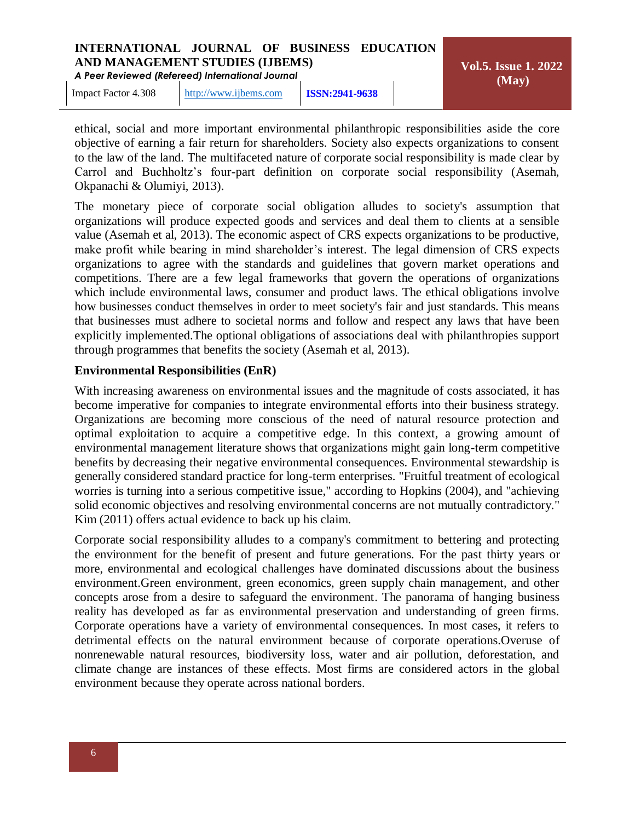*A Peer Reviewed (Refereed) International Journal*

**Vol.5. Issue 1. 2022 (May)**

Impact Factor 4.308 [http://www.ijbems.com](http://www.ijbems.com/) **ISSN:2941-9638**

ethical, social and more important environmental philanthropic responsibilities aside the core objective of earning a fair return for shareholders. Society also expects organizations to consent to the law of the land. The multifaceted nature of corporate social responsibility is made clear by Carrol and Buchholtz's four-part definition on corporate social responsibility (Asemah, Okpanachi & Olumiyi, 2013).

The monetary piece of corporate social obligation alludes to society's assumption that organizations will produce expected goods and services and deal them to clients at a sensible value (Asemah et al, 2013). The economic aspect of CRS expects organizations to be productive, make profit while bearing in mind shareholder's interest. The legal dimension of CRS expects organizations to agree with the standards and guidelines that govern market operations and competitions. There are a few legal frameworks that govern the operations of organizations which include environmental laws, consumer and product laws. The ethical obligations involve how businesses conduct themselves in order to meet society's fair and just standards. This means that businesses must adhere to societal norms and follow and respect any laws that have been explicitly implemented.The optional obligations of associations deal with philanthropies support through programmes that benefits the society (Asemah et al, 2013).

# **Environmental Responsibilities (EnR)**

With increasing awareness on environmental issues and the magnitude of costs associated, it has become imperative for companies to integrate environmental efforts into their business strategy. Organizations are becoming more conscious of the need of natural resource protection and optimal exploitation to acquire a competitive edge. In this context, a growing amount of environmental management literature shows that organizations might gain long-term competitive benefits by decreasing their negative environmental consequences. Environmental stewardship is generally considered standard practice for long-term enterprises. "Fruitful treatment of ecological worries is turning into a serious competitive issue," according to Hopkins (2004), and "achieving solid economic objectives and resolving environmental concerns are not mutually contradictory." Kim (2011) offers actual evidence to back up his claim.

Corporate social responsibility alludes to a company's commitment to bettering and protecting the environment for the benefit of present and future generations. For the past thirty years or more, environmental and ecological challenges have dominated discussions about the business environment.Green environment, green economics, green supply chain management, and other concepts arose from a desire to safeguard the environment. The panorama of hanging business reality has developed as far as environmental preservation and understanding of green firms. Corporate operations have a variety of environmental consequences. In most cases, it refers to detrimental effects on the natural environment because of corporate operations.Overuse of nonrenewable natural resources, biodiversity loss, water and air pollution, deforestation, and climate change are instances of these effects. Most firms are considered actors in the global environment because they operate across national borders.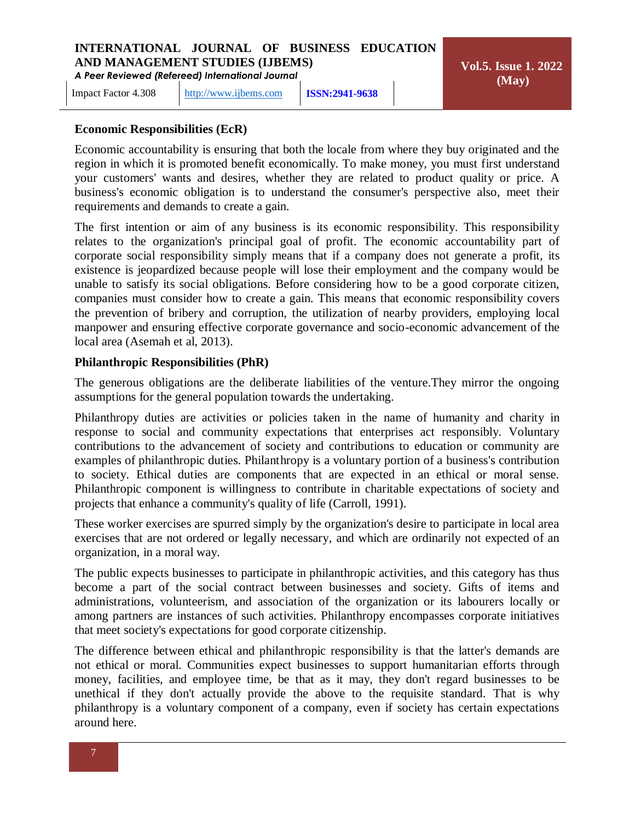Impact Factor 4.308 [http://www.ijbems.com](http://www.ijbems.com/) **ISSN:2941-9638**

# **Economic Responsibilities (EcR)**

Economic accountability is ensuring that both the locale from where they buy originated and the region in which it is promoted benefit economically. To make money, you must first understand your customers' wants and desires, whether they are related to product quality or price. A business's economic obligation is to understand the consumer's perspective also, meet their requirements and demands to create a gain.

The first intention or aim of any business is its economic responsibility. This responsibility relates to the organization's principal goal of profit. The economic accountability part of corporate social responsibility simply means that if a company does not generate a profit, its existence is jeopardized because people will lose their employment and the company would be unable to satisfy its social obligations. Before considering how to be a good corporate citizen, companies must consider how to create a gain. This means that economic responsibility covers the prevention of bribery and corruption, the utilization of nearby providers, employing local manpower and ensuring effective corporate governance and socio-economic advancement of the local area (Asemah et al, 2013).

## **Philanthropic Responsibilities (PhR)**

The generous obligations are the deliberate liabilities of the venture.They mirror the ongoing assumptions for the general population towards the undertaking.

Philanthropy duties are activities or policies taken in the name of humanity and charity in response to social and community expectations that enterprises act responsibly. Voluntary contributions to the advancement of society and contributions to education or community are examples of philanthropic duties. Philanthropy is a voluntary portion of a business's contribution to society. Ethical duties are components that are expected in an ethical or moral sense. Philanthropic component is willingness to contribute in charitable expectations of society and projects that enhance a community's quality of life (Carroll, 1991).

These worker exercises are spurred simply by the organization's desire to participate in local area exercises that are not ordered or legally necessary, and which are ordinarily not expected of an organization, in a moral way.

The public expects businesses to participate in philanthropic activities, and this category has thus become a part of the social contract between businesses and society. Gifts of items and administrations, volunteerism, and association of the organization or its labourers locally or among partners are instances of such activities. Philanthropy encompasses corporate initiatives that meet society's expectations for good corporate citizenship.

The difference between ethical and philanthropic responsibility is that the latter's demands are not ethical or moral. Communities expect businesses to support humanitarian efforts through money, facilities, and employee time, be that as it may, they don't regard businesses to be unethical if they don't actually provide the above to the requisite standard. That is why philanthropy is a voluntary component of a company, even if society has certain expectations around here.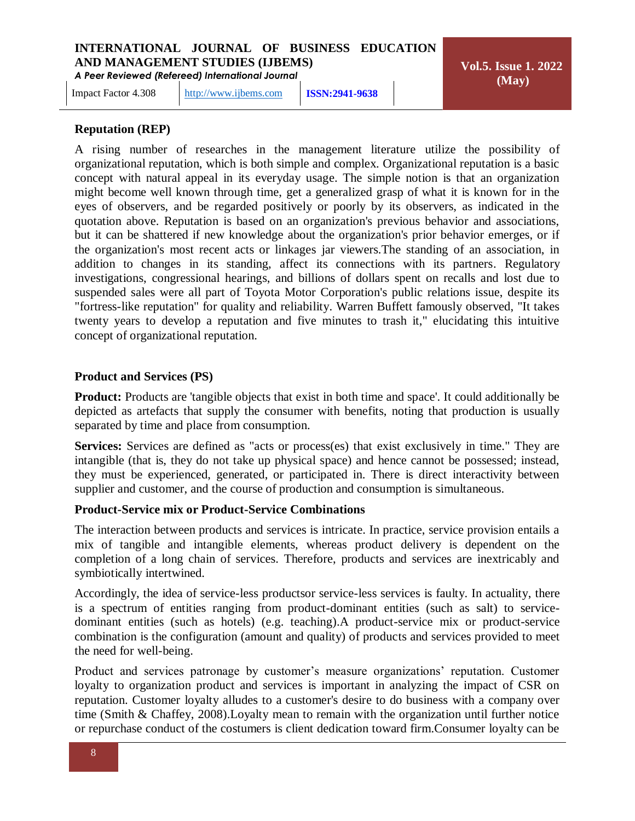Impact Factor 4.308 [http://www.ijbems.com](http://www.ijbems.com/) **ISSN:2941-9638**

**Vol.5. Issue 1. 2022 (May)**

# **Reputation (REP)**

A rising number of researches in the management literature utilize the possibility of organizational reputation, which is both simple and complex. Organizational reputation is a basic concept with natural appeal in its everyday usage. The simple notion is that an organization might become well known through time, get a generalized grasp of what it is known for in the eyes of observers, and be regarded positively or poorly by its observers, as indicated in the quotation above. Reputation is based on an organization's previous behavior and associations, but it can be shattered if new knowledge about the organization's prior behavior emerges, or if the organization's most recent acts or linkages jar viewers.The standing of an association, in addition to changes in its standing, affect its connections with its partners. Regulatory investigations, congressional hearings, and billions of dollars spent on recalls and lost due to suspended sales were all part of Toyota Motor Corporation's public relations issue, despite its "fortress-like reputation" for quality and reliability. Warren Buffett famously observed, "It takes twenty years to develop a reputation and five minutes to trash it," elucidating this intuitive concept of organizational reputation.

## **Product and Services (PS)**

**Product:** Products are 'tangible objects that exist in both time and space'. It could additionally be depicted as artefacts that supply the consumer with benefits, noting that production is usually separated by time and place from consumption.

**Services:** Services are defined as "acts or process(es) that exist exclusively in time." They are intangible (that is, they do not take up physical space) and hence cannot be possessed; instead, they must be experienced, generated, or participated in. There is direct interactivity between supplier and customer, and the course of production and consumption is simultaneous.

# **Product-Service mix or Product-Service Combinations**

The interaction between products and services is intricate. In practice, service provision entails a mix of tangible and intangible elements, whereas product delivery is dependent on the completion of a long chain of services. Therefore, products and services are inextricably and symbiotically intertwined.

Accordingly, the idea of service-less productsor service-less services is faulty. In actuality, there is a spectrum of entities ranging from product-dominant entities (such as salt) to servicedominant entities (such as hotels) (e.g. teaching).A product-service mix or product-service combination is the configuration (amount and quality) of products and services provided to meet the need for well-being.

Product and services patronage by customer's measure organizations' reputation. Customer loyalty to organization product and services is important in analyzing the impact of CSR on reputation. Customer loyalty alludes to a customer's desire to do business with a company over time (Smith & Chaffey, 2008).Loyalty mean to remain with the organization until further notice or repurchase conduct of the costumers is client dedication toward firm.Consumer loyalty can be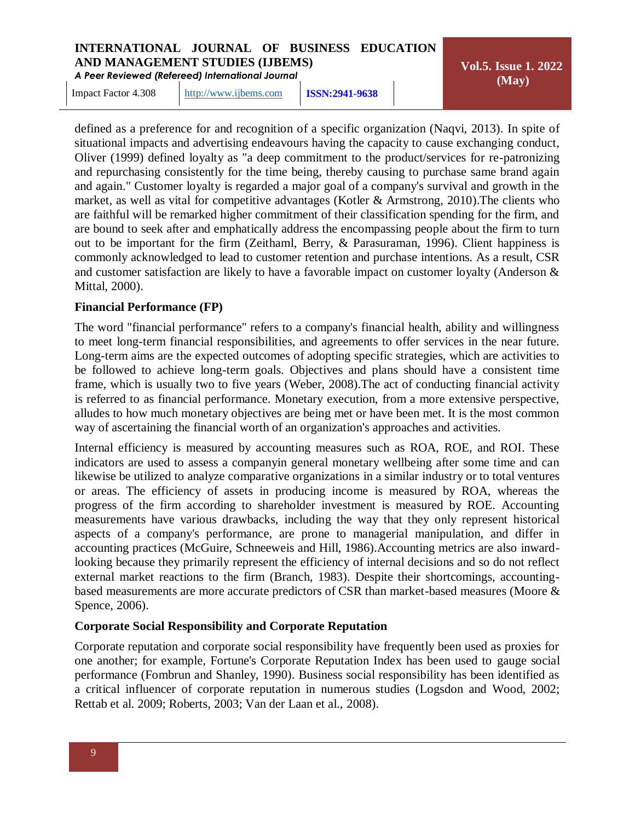*A Peer Reviewed (Refereed) International Journal*

Impact Factor 4.308 [http://www.ijbems.com](http://www.ijbems.com/) **ISSN:2941-9638**

**Vol.5. Issue 1. 2022 (May)**

defined as a preference for and recognition of a specific organization (Naqvi, 2013). In spite of situational impacts and advertising endeavours having the capacity to cause exchanging conduct, Oliver (1999) defined loyalty as "a deep commitment to the product/services for re-patronizing and repurchasing consistently for the time being, thereby causing to purchase same brand again and again." Customer loyalty is regarded a major goal of a company's survival and growth in the market, as well as vital for competitive advantages (Kotler & Armstrong, 2010).The clients who are faithful will be remarked higher commitment of their classification spending for the firm, and are bound to seek after and emphatically address the encompassing people about the firm to turn out to be important for the firm (Zeithaml, Berry, & Parasuraman, 1996). Client happiness is commonly acknowledged to lead to customer retention and purchase intentions. As a result, CSR and customer satisfaction are likely to have a favorable impact on customer loyalty (Anderson & Mittal, 2000).

# **Financial Performance (FP)**

The word "financial performance" refers to a company's financial health, ability and willingness to meet long-term financial responsibilities, and agreements to offer services in the near future. Long-term aims are the expected outcomes of adopting specific strategies, which are activities to be followed to achieve long-term goals. Objectives and plans should have a consistent time frame, which is usually two to five years (Weber, 2008).The act of conducting financial activity is referred to as financial performance. Monetary execution, from a more extensive perspective, alludes to how much monetary objectives are being met or have been met. It is the most common way of ascertaining the financial worth of an organization's approaches and activities.

Internal efficiency is measured by accounting measures such as ROA, ROE, and ROI. These indicators are used to assess a companyin general monetary wellbeing after some time and can likewise be utilized to analyze comparative organizations in a similar industry or to total ventures or areas. The efficiency of assets in producing income is measured by ROA, whereas the progress of the firm according to shareholder investment is measured by ROE. Accounting measurements have various drawbacks, including the way that they only represent historical aspects of a company's performance, are prone to managerial manipulation, and differ in accounting practices (McGuire, Schneeweis and Hill, 1986).Accounting metrics are also inwardlooking because they primarily represent the efficiency of internal decisions and so do not reflect external market reactions to the firm (Branch, 1983). Despite their shortcomings, accountingbased measurements are more accurate predictors of CSR than market-based measures (Moore & Spence, 2006).

#### **Corporate Social Responsibility and Corporate Reputation**

Corporate reputation and corporate social responsibility have frequently been used as proxies for one another; for example, Fortune's Corporate Reputation Index has been used to gauge social performance (Fombrun and Shanley, 1990). Business social responsibility has been identified as a critical influencer of corporate reputation in numerous studies (Logsdon and Wood, 2002; Rettab et al. 2009; Roberts, 2003; Van der Laan et al., 2008).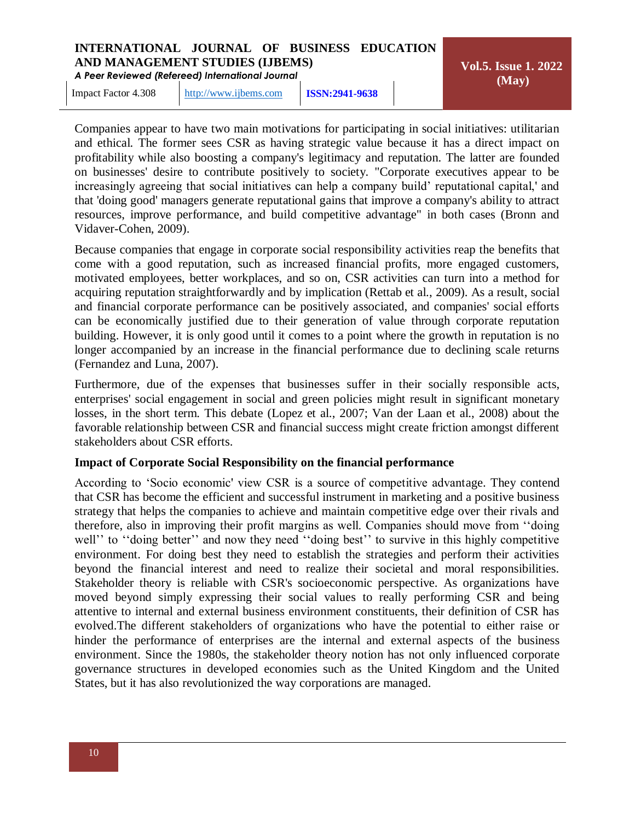*A Peer Reviewed (Refereed) International Journal*

Impact Factor 4.308 [http://www.ijbems.com](http://www.ijbems.com/) **ISSN:2941-9638**

**Vol.5. Issue 1. 2022 (May)**

Companies appear to have two main motivations for participating in social initiatives: utilitarian and ethical. The former sees CSR as having strategic value because it has a direct impact on profitability while also boosting a company's legitimacy and reputation. The latter are founded on businesses' desire to contribute positively to society. "Corporate executives appear to be increasingly agreeing that social initiatives can help a company build' reputational capital,' and that 'doing good' managers generate reputational gains that improve a company's ability to attract resources, improve performance, and build competitive advantage" in both cases (Bronn and Vidaver-Cohen, 2009).

Because companies that engage in corporate social responsibility activities reap the benefits that come with a good reputation, such as increased financial profits, more engaged customers, motivated employees, better workplaces, and so on, CSR activities can turn into a method for acquiring reputation straightforwardly and by implication (Rettab et al., 2009). As a result, social and financial corporate performance can be positively associated, and companies' social efforts can be economically justified due to their generation of value through corporate reputation building. However, it is only good until it comes to a point where the growth in reputation is no longer accompanied by an increase in the financial performance due to declining scale returns (Fernandez and Luna, 2007).

Furthermore, due of the expenses that businesses suffer in their socially responsible acts, enterprises' social engagement in social and green policies might result in significant monetary losses, in the short term. This debate (Lopez et al., 2007; Van der Laan et al., 2008) about the favorable relationship between CSR and financial success might create friction amongst different stakeholders about CSR efforts.

# **Impact of Corporate Social Responsibility on the financial performance**

According to 'Socio economic' view CSR is a source of competitive advantage. They contend that CSR has become the efficient and successful instrument in marketing and a positive business strategy that helps the companies to achieve and maintain competitive edge over their rivals and therefore, also in improving their profit margins as well. Companies should move from ''doing well'' to ''doing better'' and now they need ''doing best'' to survive in this highly competitive environment. For doing best they need to establish the strategies and perform their activities beyond the financial interest and need to realize their societal and moral responsibilities. Stakeholder theory is reliable with CSR's socioeconomic perspective. As organizations have moved beyond simply expressing their social values to really performing CSR and being attentive to internal and external business environment constituents, their definition of CSR has evolved.The different stakeholders of organizations who have the potential to either raise or hinder the performance of enterprises are the internal and external aspects of the business environment. Since the 1980s, the stakeholder theory notion has not only influenced corporate governance structures in developed economies such as the United Kingdom and the United States, but it has also revolutionized the way corporations are managed.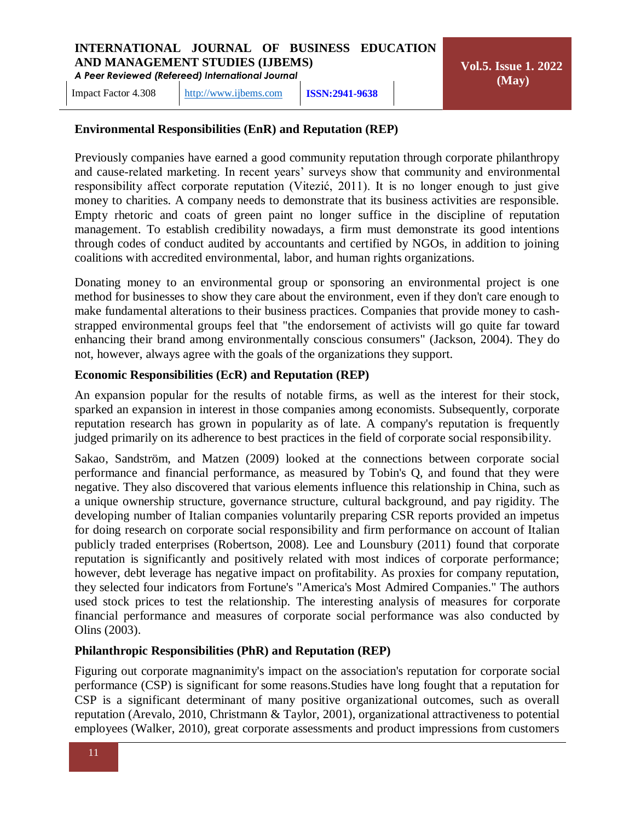Impact Factor 4.308 [http://www.ijbems.com](http://www.ijbems.com/) **ISSN:2941-9638**

# **Environmental Responsibilities (EnR) and Reputation (REP)**

Previously companies have earned a good community reputation through corporate philanthropy and cause-related marketing. In recent years' surveys show that community and environmental responsibility affect corporate reputation (Vitezić, 2011). It is no longer enough to just give money to charities. A company needs to demonstrate that its business activities are responsible. Empty rhetoric and coats of green paint no longer suffice in the discipline of reputation management. To establish credibility nowadays, a firm must demonstrate its good intentions through codes of conduct audited by accountants and certified by NGOs, in addition to joining coalitions with accredited environmental, labor, and human rights organizations.

Donating money to an environmental group or sponsoring an environmental project is one method for businesses to show they care about the environment, even if they don't care enough to make fundamental alterations to their business practices. Companies that provide money to cashstrapped environmental groups feel that "the endorsement of activists will go quite far toward enhancing their brand among environmentally conscious consumers" (Jackson, 2004). They do not, however, always agree with the goals of the organizations they support.

## **Economic Responsibilities (EcR) and Reputation (REP)**

An expansion popular for the results of notable firms, as well as the interest for their stock, sparked an expansion in interest in those companies among economists. Subsequently, corporate reputation research has grown in popularity as of late. A company's reputation is frequently judged primarily on its adherence to best practices in the field of corporate social responsibility.

Sakao, Sandström, and Matzen (2009) looked at the connections between corporate social performance and financial performance, as measured by Tobin's Q, and found that they were negative. They also discovered that various elements influence this relationship in China, such as a unique ownership structure, governance structure, cultural background, and pay rigidity. The developing number of Italian companies voluntarily preparing CSR reports provided an impetus for doing research on corporate social responsibility and firm performance on account of Italian publicly traded enterprises (Robertson, 2008). Lee and Lounsbury (2011) found that corporate reputation is significantly and positively related with most indices of corporate performance; however, debt leverage has negative impact on profitability. As proxies for company reputation, they selected four indicators from Fortune's "America's Most Admired Companies." The authors used stock prices to test the relationship. The interesting analysis of measures for corporate financial performance and measures of corporate social performance was also conducted by Olins (2003).

# **Philanthropic Responsibilities (PhR) and Reputation (REP)**

Figuring out corporate magnanimity's impact on the association's reputation for corporate social performance (CSP) is significant for some reasons.Studies have long fought that a reputation for CSP is a significant determinant of many positive organizational outcomes, such as overall reputation (Arevalo, 2010, Christmann & Taylor, 2001), organizational attractiveness to potential employees (Walker, 2010), great corporate assessments and product impressions from customers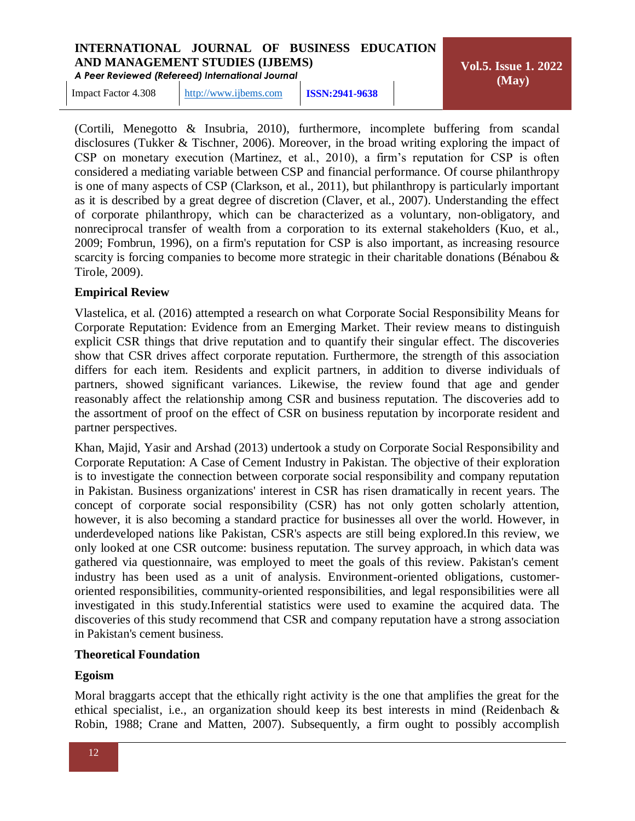*A Peer Reviewed (Refereed) International Journal*

**Vol.5. Issue 1. 2022 (May)**

Impact Factor 4.308 [http://www.ijbems.com](http://www.ijbems.com/) **ISSN:2941-9638**

(Cortili, Menegotto & Insubria, 2010), furthermore, incomplete buffering from scandal disclosures (Tukker & Tischner, 2006). Moreover, in the broad writing exploring the impact of CSP on monetary execution (Martinez, et al., 2010), a firm's reputation for CSP is often considered a mediating variable between CSP and financial performance. Of course philanthropy is one of many aspects of CSP (Clarkson, et al., 2011), but philanthropy is particularly important as it is described by a great degree of discretion (Claver, et al., 2007). Understanding the effect of corporate philanthropy, which can be characterized as a voluntary, non-obligatory, and nonreciprocal transfer of wealth from a corporation to its external stakeholders (Kuo, et al., 2009; Fombrun, 1996), on a firm's reputation for CSP is also important, as increasing resource scarcity is forcing companies to become more strategic in their charitable donations (Bénabou & Tirole, 2009).

# **Empirical Review**

Vlastelica, et al. (2016) attempted a research on what Corporate Social Responsibility Means for Corporate Reputation: Evidence from an Emerging Market. Their review means to distinguish explicit CSR things that drive reputation and to quantify their singular effect. The discoveries show that CSR drives affect corporate reputation. Furthermore, the strength of this association differs for each item. Residents and explicit partners, in addition to diverse individuals of partners, showed significant variances. Likewise, the review found that age and gender reasonably affect the relationship among CSR and business reputation. The discoveries add to the assortment of proof on the effect of CSR on business reputation by incorporate resident and partner perspectives.

Khan, Majid, Yasir and Arshad (2013) undertook a study on Corporate Social Responsibility and Corporate Reputation: A Case of Cement Industry in Pakistan. The objective of their exploration is to investigate the connection between corporate social responsibility and company reputation in Pakistan. Business organizations' interest in CSR has risen dramatically in recent years. The concept of corporate social responsibility (CSR) has not only gotten scholarly attention, however, it is also becoming a standard practice for businesses all over the world. However, in underdeveloped nations like Pakistan, CSR's aspects are still being explored.In this review, we only looked at one CSR outcome: business reputation. The survey approach, in which data was gathered via questionnaire, was employed to meet the goals of this review. Pakistan's cement industry has been used as a unit of analysis. Environment-oriented obligations, customeroriented responsibilities, community-oriented responsibilities, and legal responsibilities were all investigated in this study.Inferential statistics were used to examine the acquired data. The discoveries of this study recommend that CSR and company reputation have a strong association in Pakistan's cement business.

# **Theoretical Foundation**

# **Egoism**

Moral braggarts accept that the ethically right activity is the one that amplifies the great for the ethical specialist, i.e., an organization should keep its best interests in mind (Reidenbach & Robin, 1988; Crane and Matten, 2007). Subsequently, a firm ought to possibly accomplish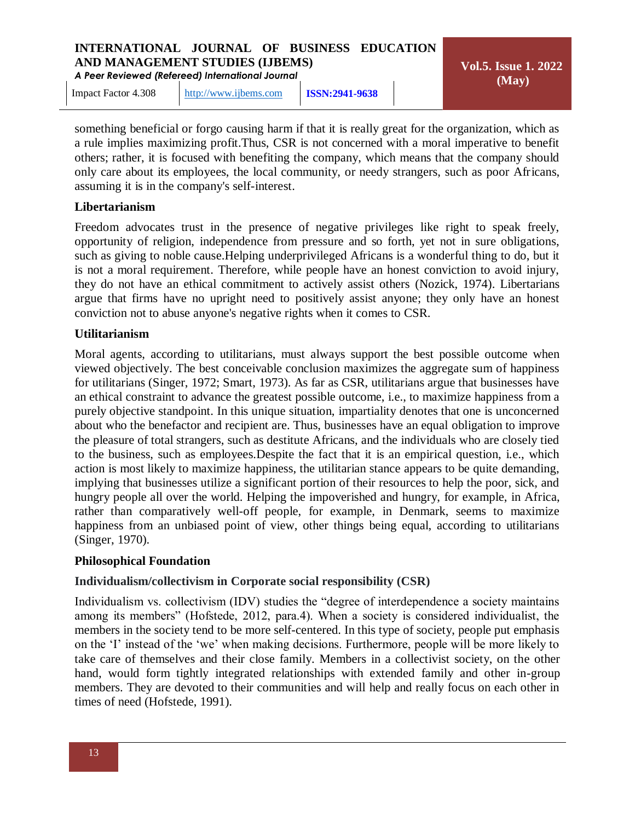*A Peer Reviewed (Refereed) International Journal*

Impact Factor 4.308 [http://www.ijbems.com](http://www.ijbems.com/) **ISSN:2941-9638**

**Vol.5. Issue 1. 2022 (May)**

something beneficial or forgo causing harm if that it is really great for the organization, which as a rule implies maximizing profit.Thus, CSR is not concerned with a moral imperative to benefit others; rather, it is focused with benefiting the company, which means that the company should only care about its employees, the local community, or needy strangers, such as poor Africans, assuming it is in the company's self-interest.

# **Libertarianism**

Freedom advocates trust in the presence of negative privileges like right to speak freely, opportunity of religion, independence from pressure and so forth, yet not in sure obligations, such as giving to noble cause.Helping underprivileged Africans is a wonderful thing to do, but it is not a moral requirement. Therefore, while people have an honest conviction to avoid injury, they do not have an ethical commitment to actively assist others (Nozick, 1974). Libertarians argue that firms have no upright need to positively assist anyone; they only have an honest conviction not to abuse anyone's negative rights when it comes to CSR.

# **Utilitarianism**

Moral agents, according to utilitarians, must always support the best possible outcome when viewed objectively. The best conceivable conclusion maximizes the aggregate sum of happiness for utilitarians (Singer, 1972; Smart, 1973). As far as CSR, utilitarians argue that businesses have an ethical constraint to advance the greatest possible outcome, i.e., to maximize happiness from a purely objective standpoint. In this unique situation, impartiality denotes that one is unconcerned about who the benefactor and recipient are. Thus, businesses have an equal obligation to improve the pleasure of total strangers, such as destitute Africans, and the individuals who are closely tied to the business, such as employees.Despite the fact that it is an empirical question, i.e., which action is most likely to maximize happiness, the utilitarian stance appears to be quite demanding, implying that businesses utilize a significant portion of their resources to help the poor, sick, and hungry people all over the world. Helping the impoverished and hungry, for example, in Africa, rather than comparatively well-off people, for example, in Denmark, seems to maximize happiness from an unbiased point of view, other things being equal, according to utilitarians (Singer, 1970).

# **Philosophical Foundation**

# **Individualism/collectivism in Corporate social responsibility (CSR)**

Individualism vs. collectivism (IDV) studies the "degree of interdependence a society maintains among its members" (Hofstede, 2012, para.4). When a society is considered individualist, the members in the society tend to be more self-centered. In this type of society, people put emphasis on the 'I' instead of the 'we' when making decisions. Furthermore, people will be more likely to take care of themselves and their close family. Members in a collectivist society, on the other hand, would form tightly integrated relationships with extended family and other in-group members. They are devoted to their communities and will help and really focus on each other in times of need (Hofstede, 1991).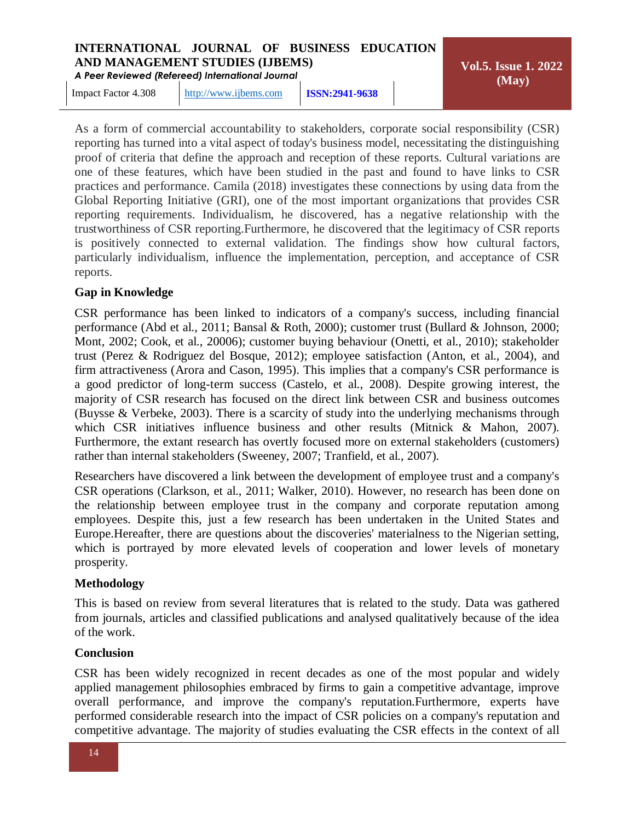*A Peer Reviewed (Refereed) International Journal*

**Vol.5. Issue 1. 2022 (May)**

Impact Factor 4.308 [http://www.ijbems.com](http://www.ijbems.com/) **ISSN:2941-9638**

As a form of commercial accountability to stakeholders, corporate social responsibility (CSR) reporting has turned into a vital aspect of today's business model, necessitating the distinguishing proof of criteria that define the approach and reception of these reports. Cultural variations are one of these features, which have been studied in the past and found to have links to CSR practices and performance. Camila (2018) investigates these connections by using data from the Global Reporting Initiative (GRI), one of the most important organizations that provides CSR reporting requirements. Individualism, he discovered, has a negative relationship with the trustworthiness of CSR reporting.Furthermore, he discovered that the legitimacy of CSR reports is positively connected to external validation. The findings show how cultural factors, particularly individualism, influence the implementation, perception, and acceptance of CSR reports.

# **Gap in Knowledge**

CSR performance has been linked to indicators of a company's success, including financial performance (Abd et al., 2011; Bansal & Roth, 2000); customer trust (Bullard & Johnson, 2000; Mont, 2002; Cook, et al., 20006); customer buying behaviour (Onetti, et al., 2010); stakeholder trust (Perez & Rodriguez del Bosque, 2012); employee satisfaction (Anton, et al., 2004), and firm attractiveness (Arora and Cason, 1995). This implies that a company's CSR performance is a good predictor of long-term success (Castelo, et al., 2008). Despite growing interest, the majority of CSR research has focused on the direct link between CSR and business outcomes (Buysse & Verbeke, 2003). There is a scarcity of study into the underlying mechanisms through which CSR initiatives influence business and other results (Mitnick & Mahon, 2007). Furthermore, the extant research has overtly focused more on external stakeholders (customers) rather than internal stakeholders (Sweeney, 2007; Tranfield, et al., 2007).

Researchers have discovered a link between the development of employee trust and a company's CSR operations (Clarkson, et al., 2011; Walker, 2010). However, no research has been done on the relationship between employee trust in the company and corporate reputation among employees. Despite this, just a few research has been undertaken in the United States and Europe.Hereafter, there are questions about the discoveries' materialness to the Nigerian setting, which is portrayed by more elevated levels of cooperation and lower levels of monetary prosperity.

# **Methodology**

This is based on review from several literatures that is related to the study. Data was gathered from journals, articles and classified publications and analysed qualitatively because of the idea of the work.

# **Conclusion**

CSR has been widely recognized in recent decades as one of the most popular and widely applied management philosophies embraced by firms to gain a competitive advantage, improve overall performance, and improve the company's reputation.Furthermore, experts have performed considerable research into the impact of CSR policies on a company's reputation and competitive advantage. The majority of studies evaluating the CSR effects in the context of all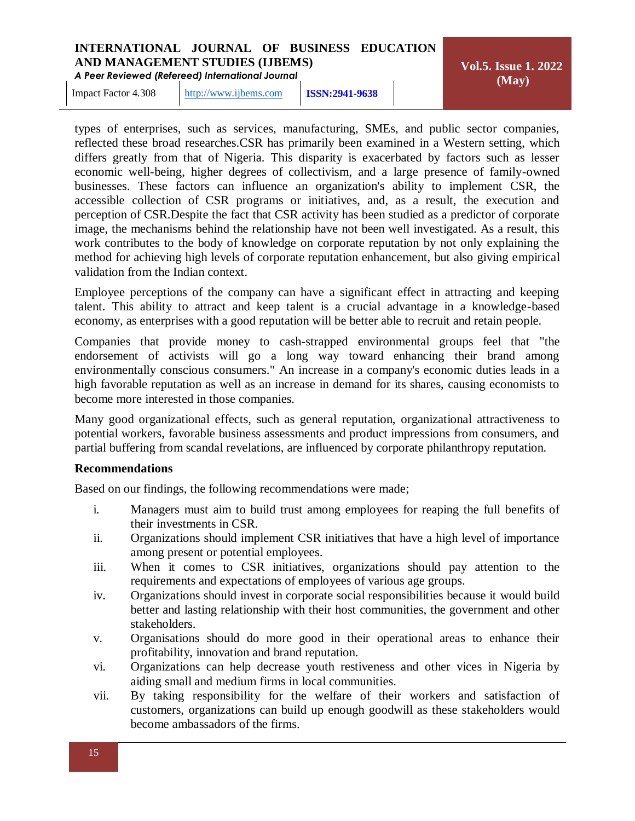*A Peer Reviewed (Refereed) International Journal*

**Vol.5. Issue 1. 2022 (May)**

Impact Factor 4.308 [http://www.ijbems.com](http://www.ijbems.com/) **ISSN:2941-9638**

types of enterprises, such as services, manufacturing, SMEs, and public sector companies, reflected these broad researches.CSR has primarily been examined in a Western setting, which differs greatly from that of Nigeria. This disparity is exacerbated by factors such as lesser economic well-being, higher degrees of collectivism, and a large presence of family-owned businesses. These factors can influence an organization's ability to implement CSR, the accessible collection of CSR programs or initiatives, and, as a result, the execution and perception of CSR.Despite the fact that CSR activity has been studied as a predictor of corporate image, the mechanisms behind the relationship have not been well investigated. As a result, this work contributes to the body of knowledge on corporate reputation by not only explaining the method for achieving high levels of corporate reputation enhancement, but also giving empirical validation from the Indian context.

Employee perceptions of the company can have a significant effect in attracting and keeping talent. This ability to attract and keep talent is a crucial advantage in a knowledge-based economy, as enterprises with a good reputation will be better able to recruit and retain people.

Companies that provide money to cash-strapped environmental groups feel that "the endorsement of activists will go a long way toward enhancing their brand among environmentally conscious consumers." An increase in a company's economic duties leads in a high favorable reputation as well as an increase in demand for its shares, causing economists to become more interested in those companies.

Many good organizational effects, such as general reputation, organizational attractiveness to potential workers, favorable business assessments and product impressions from consumers, and partial buffering from scandal revelations, are influenced by corporate philanthropy reputation.

# **Recommendations**

Based on our findings, the following recommendations were made;

- i. Managers must aim to build trust among employees for reaping the full benefits of their investments in CSR.
- ii. Organizations should implement CSR initiatives that have a high level of importance among present or potential employees.
- iii. When it comes to CSR initiatives, organizations should pay attention to the requirements and expectations of employees of various age groups.
- iv. Organizations should invest in corporate social responsibilities because it would build better and lasting relationship with their host communities, the government and other stakeholders.
- v. Organisations should do more good in their operational areas to enhance their profitability, innovation and brand reputation.
- vi. Organizations can help decrease youth restiveness and other vices in Nigeria by aiding small and medium firms in local communities.
- vii. By taking responsibility for the welfare of their workers and satisfaction of customers, organizations can build up enough goodwill as these stakeholders would become ambassadors of the firms.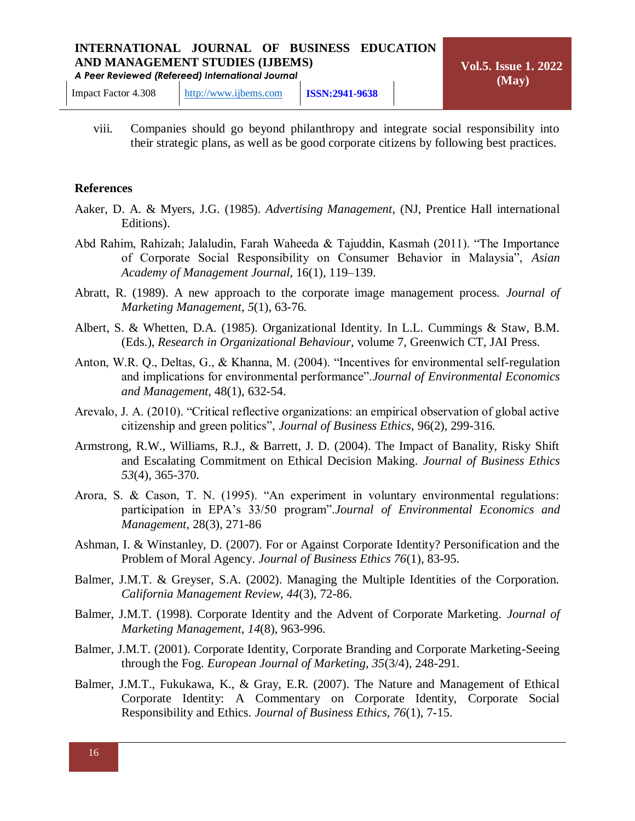viii. Companies should go beyond philanthropy and integrate social responsibility into their strategic plans, as well as be good corporate citizens by following best practices.

#### **References**

- Aaker, D. A. & Myers, J.G. (1985). *Advertising Management*, (NJ, Prentice Hall international Editions).
- Abd Rahim, Rahizah; Jalaludin, Farah Waheeda & Tajuddin, Kasmah (2011). "The Importance of Corporate Social Responsibility on Consumer Behavior in Malaysia", *Asian Academy of Management Journal*, 16(1), 119–139.
- Abratt, R. (1989). A new approach to the corporate image management process. *Journal of Marketing Management*, *5*(1), 63-76.
- Albert, S. & Whetten, D.A. (1985). Organizational Identity. In L.L. Cummings & Staw, B.M. (Eds.), *Research in Organizational Behaviour*, volume 7, Greenwich CT, JAI Press.
- Anton, W.R. Q., Deltas, G., & Khanna, M. (2004). "Incentives for environmental self-regulation and implications for environmental performance".*Journal of Environmental Economics and Management,* 48(1), 632-54.
- Arevalo, J. A. (2010). "Critical reflective organizations: an empirical observation of global active citizenship and green politics", *Journal of Business Ethics*, 96(2), 299-316.
- Armstrong, R.W., Williams, R.J., & Barrett, J. D. (2004). The Impact of Banality, Risky Shift and Escalating Commitment on Ethical Decision Making. *Journal of Business Ethics 53*(4), 365-370.
- Arora, S. & Cason, T. N. (1995). "An experiment in voluntary environmental regulations: participation in EPA's 33/50 program".*Journal of Environmental Economics and Management*, 28(3), 271-86
- Ashman, I. & Winstanley, D. (2007). For or Against Corporate Identity? Personification and the Problem of Moral Agency. *Journal of Business Ethics 76*(1), 83-95.
- Balmer, J.M.T. & Greyser, S.A. (2002). Managing the Multiple Identities of the Corporation. *California Management Review, 44*(3), 72-86.
- Balmer, J.M.T. (1998). Corporate Identity and the Advent of Corporate Marketing. *Journal of Marketing Management, 14*(8), 963-996.
- Balmer, J.M.T. (2001). Corporate Identity, Corporate Branding and Corporate Marketing-Seeing through the Fog. *European Journal of Marketing, 35*(3/4), 248-291.
- Balmer, J.M.T., Fukukawa, K., & Gray, E.R. (2007). The Nature and Management of Ethical Corporate Identity: A Commentary on Corporate Identity, Corporate Social Responsibility and Ethics. *Journal of Business Ethics, 76*(1), 7-15.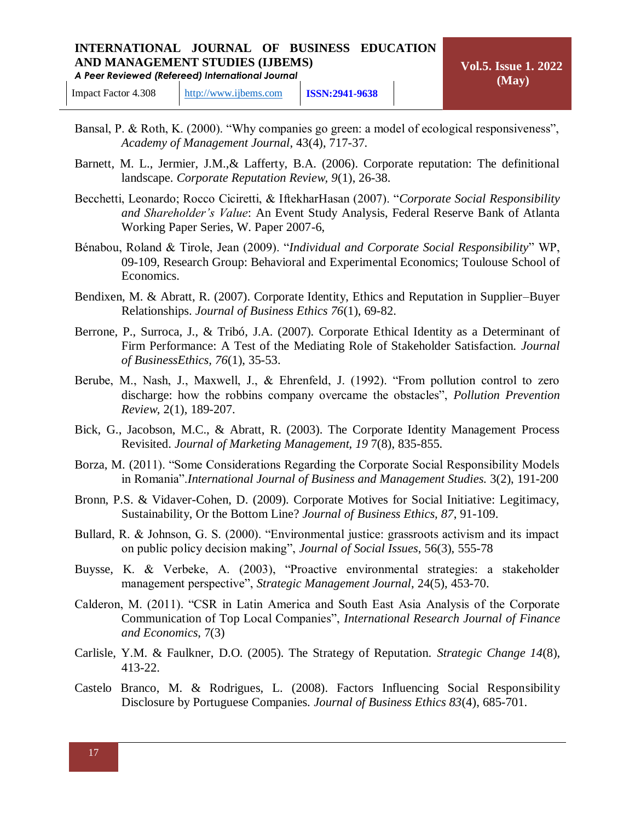- Bansal, P. & Roth, K. (2000). "Why companies go green: a model of ecological responsiveness", *Academy of Management Journal*, 43(4), 717-37.
- Barnett, M. L., Jermier, J.M.,& Lafferty, B.A. (2006). Corporate reputation: The definitional landscape. *Corporate Reputation Review, 9*(1), 26-38.
- Becchetti, Leonardo; Rocco Ciciretti, & IftekharHasan (2007). "*Corporate Social Responsibility and Shareholder's Value*: An Event Study Analysis, Federal Reserve Bank of Atlanta Working Paper Series, W. Paper 2007-6,
- Bénabou, Roland & Tirole, Jean (2009). "*Individual and Corporate Social Responsibility*" WP, 09-109, Research Group: Behavioral and Experimental Economics; Toulouse School of Economics.
- Bendixen, M. & Abratt, R. (2007). Corporate Identity, Ethics and Reputation in Supplier–Buyer Relationships. *Journal of Business Ethics 76*(1), 69-82.
- Berrone, P., Surroca, J., & Tribó, J.A. (2007). Corporate Ethical Identity as a Determinant of Firm Performance: A Test of the Mediating Role of Stakeholder Satisfaction. *Journal of BusinessEthics, 76*(1), 35-53.
- Berube, M., Nash, J., Maxwell, J., & Ehrenfeld, J. (1992). "From pollution control to zero discharge: how the robbins company overcame the obstacles", *Pollution Prevention Review*, 2(1), 189-207.
- Bick, G., Jacobson, M.C., & Abratt, R. (2003). The Corporate Identity Management Process Revisited. *Journal of Marketing Management, 19* 7(8), 835-855.
- Borza, M. (2011). "Some Considerations Regarding the Corporate Social Responsibility Models in Romania".*International Journal of Business and Management Studies.* 3(2), 191-200
- Bronn, P.S. & Vidaver-Cohen, D. (2009). Corporate Motives for Social Initiative: Legitimacy, Sustainability, Or the Bottom Line? *Journal of Business Ethics, 87*, 91-109.
- Bullard, R. & Johnson, G. S. (2000). "Environmental justice: grassroots activism and its impact on public policy decision making", *Journal of Social Issues*, 56(3), 555-78
- Buysse, K. & Verbeke, A. (2003), "Proactive environmental strategies: a stakeholder management perspective", *Strategic Management Journal*, 24(5), 453-70.
- Calderon, M. (2011). "CSR in Latin America and South East Asia Analysis of the Corporate Communication of Top Local Companies", *International Research Journal of Finance and Economics*, 7(3)
- Carlisle, Y.M. & Faulkner, D.O. (2005). The Strategy of Reputation. *Strategic Change 14*(8), 413-22.
- Castelo Branco, M. & Rodrigues, L. (2008). Factors Influencing Social Responsibility Disclosure by Portuguese Companies. *Journal of Business Ethics 83*(4), 685-701.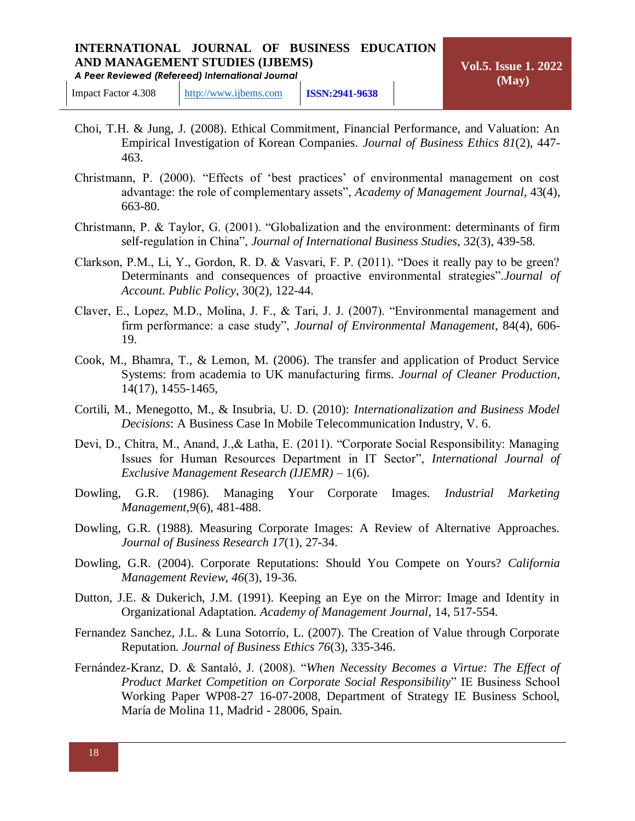- Choi, T.H. & Jung, J. (2008). Ethical Commitment, Financial Performance, and Valuation: An Empirical Investigation of Korean Companies. *Journal of Business Ethics 81*(2), 447- 463.
- Christmann, P. (2000). "Effects of 'best practices' of environmental management on cost advantage: the role of complementary assets", *Academy of Management Journal*, 43(4), 663-80.
- Christmann, P. & Taylor, G. (2001). "Globalization and the environment: determinants of firm self-regulation in China", *Journal of International Business Studies*, 32(3), 439-58.
- Clarkson, P.M., Li, Y., Gordon, R. D. & Vasvari, F. P. (2011). "Does it really pay to be green? Determinants and consequences of proactive environmental strategies".*Journal of Account. Public Policy*, 30(2), 122-44.
- Claver, E., Lopez, M.D., Molina, J. F., & Tari, J. J. (2007). "Environmental management and firm performance: a case study", *Journal of Environmental Management*, 84(4), 606- 19.
- Cook, M., Bhamra, T., & Lemon, M. (2006). The transfer and application of Product Service Systems: from academia to UK manufacturing firms. *Journal of Cleaner Production*, 14(17), 1455-1465,
- Cortili, M., Menegotto, M., & Insubria, U. D. (2010): *Internationalization and Business Model Decisions*: A Business Case In Mobile Telecommunication Industry, V. 6.
- Devi, D., Chitra, M., Anand, J.,& Latha, E. (2011). "Corporate Social Responsibility: Managing Issues for Human Resources Department in IT Sector", *International Journal of Exclusive Management Research (IJEMR)* – 1(6).
- Dowling, G.R. (1986). Managing Your Corporate Images. *Industrial Marketing Management,9*(6), 481-488.
- Dowling, G.R. (1988). Measuring Corporate Images: A Review of Alternative Approaches. *Journal of Business Research 17*(1), 27-34.
- Dowling, G.R. (2004). Corporate Reputations: Should You Compete on Yours? *California Management Review, 46*(3), 19-36.
- Dutton, J.E. & Dukerich, J.M. (1991). Keeping an Eye on the Mirror: Image and Identity in Organizational Adaptation. *Academy of Management Journal*, 14, 517-554.
- Fernandez Sanchez, J.L. & Luna Sotorrío, L. (2007). The Creation of Value through Corporate Reputation. *Journal of Business Ethics 76*(3), 335-346.
- Fernández-Kranz, D. & Santaló, J. (2008). "*When Necessity Becomes a Virtue: The Effect of Product Market Competition on Corporate Social Responsibility*" IE Business School Working Paper WP08-27 16-07-2008, Department of Strategy IE Business School, María de Molina 11, Madrid - 28006, Spain.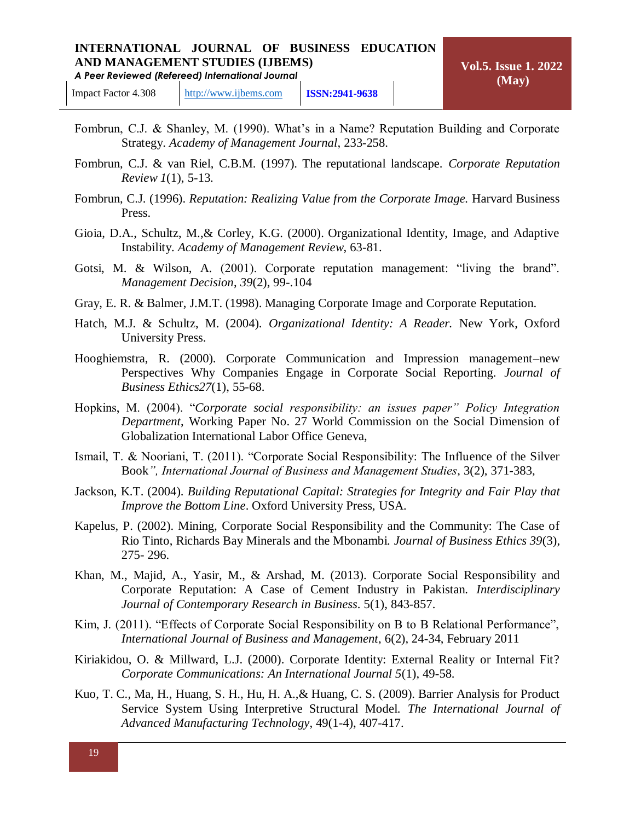- Fombrun, C.J. & Shanley, M. (1990). What's in a Name? Reputation Building and Corporate Strategy. *Academy of Management Journal*, 233-258.
- Fombrun, C.J. & van Riel, C.B.M. (1997). The reputational landscape. *Corporate Reputation Review 1*(1), 5-13.
- Fombrun, C.J. (1996). *Reputation: Realizing Value from the Corporate Image.* Harvard Business Press.
- Gioia, D.A., Schultz, M.,& Corley, K.G. (2000). Organizational Identity, Image, and Adaptive Instability. *Academy of Management Review*, 63-81.
- Gotsi, M. & Wilson, A. (2001). Corporate reputation management: "living the brand". *Management Decision*, *39*(2), 99-.104
- Gray, E. R. & Balmer, J.M.T. (1998). Managing Corporate Image and Corporate Reputation.
- Hatch, M.J. & Schultz, M. (2004). *Organizational Identity: A Reader.* New York, Oxford University Press.
- Hooghiemstra, R. (2000). Corporate Communication and Impression management–new Perspectives Why Companies Engage in Corporate Social Reporting. *Journal of Business Ethics27*(1), 55-68.
- Hopkins, M. (2004). "*Corporate social responsibility: an issues paper" Policy Integration Department*, Working Paper No. 27 World Commission on the Social Dimension of Globalization International Labor Office Geneva,
- Ismail, T. & Nooriani, T. (2011). "Corporate Social Responsibility: The Influence of the Silver Book*", International Journal of Business and Management Studies*, 3(2), 371-383,
- Jackson, K.T. (2004). *Building Reputational Capital: Strategies for Integrity and Fair Play that Improve the Bottom Line*. Oxford University Press, USA.
- Kapelus, P. (2002). Mining, Corporate Social Responsibility and the Community: The Case of Rio Tinto, Richards Bay Minerals and the Mbonambi. *Journal of Business Ethics 39*(3), 275- 296.
- Khan, M., Majid, A., Yasir, M., & Arshad, M. (2013). Corporate Social Responsibility and Corporate Reputation: A Case of Cement Industry in Pakistan. *Interdisciplinary Journal of Contemporary Research in Business*. 5(1), 843-857.
- Kim, J. (2011). "Effects of Corporate Social Responsibility on B to B Relational Performance", *International Journal of Business and Management*, 6(2), 24-34, February 2011
- Kiriakidou, O. & Millward, L.J. (2000). Corporate Identity: External Reality or Internal Fit? *Corporate Communications: An International Journal 5*(1), 49-58.
- Kuo, T. C., Ma, H., Huang, S. H., Hu, H. A.,& Huang, C. S. (2009). Barrier Analysis for Product Service System Using Interpretive Structural Model. *The International Journal of Advanced Manufacturing Technology*, 49(1-4), 407-417.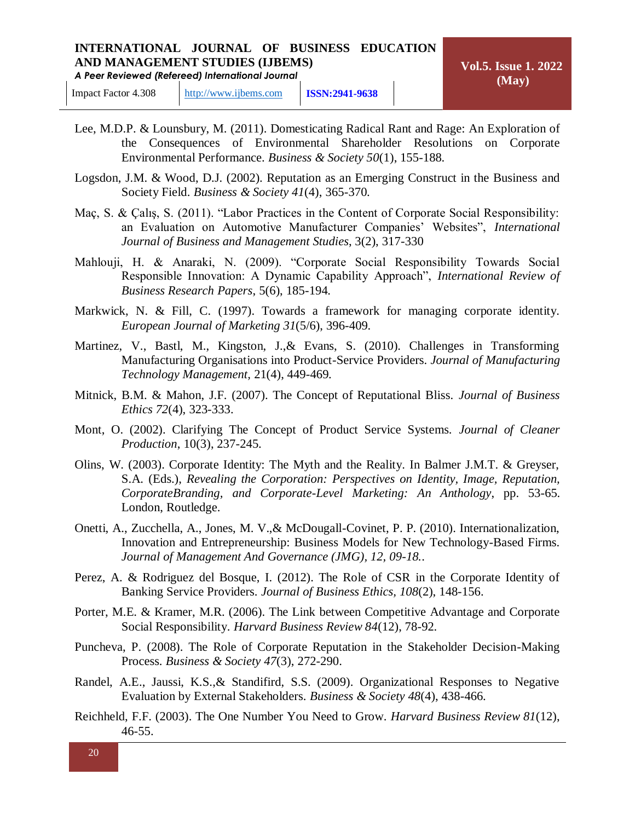- Lee, M.D.P. & Lounsbury, M. (2011). Domesticating Radical Rant and Rage: An Exploration of the Consequences of Environmental Shareholder Resolutions on Corporate Environmental Performance. *Business & Society 50*(1), 155-188.
- Logsdon, J.M. & Wood, D.J. (2002). Reputation as an Emerging Construct in the Business and Society Field. *Business & Society 41*(4), 365-370.
- Maç, S. & Çalış, S. (2011). "Labor Practices in the Content of Corporate Social Responsibility: an Evaluation on Automotive Manufacturer Companies' Websites", *International Journal of Business and Management Studies*, 3(2), 317-330
- Mahlouji, H. & Anaraki, N. (2009). "Corporate Social Responsibility Towards Social Responsible Innovation: A Dynamic Capability Approach", *International Review of Business Research Papers*, 5(6), 185-194.
- Markwick, N. & Fill, C. (1997). Towards a framework for managing corporate identity. *European Journal of Marketing 31*(5/6), 396-409.
- Martinez, V., Bastl, M., Kingston, J.,& Evans, S. (2010). Challenges in Transforming Manufacturing Organisations into Product-Service Providers. *Journal of Manufacturing Technology Management,* 21(4), 449-469.
- Mitnick, B.M. & Mahon, J.F. (2007). The Concept of Reputational Bliss. *Journal of Business Ethics 72*(4), 323-333.
- Mont, O. (2002). Clarifying The Concept of Product Service Systems. *Journal of Cleaner Production*, 10(3), 237-245.
- Olins, W. (2003). Corporate Identity: The Myth and the Reality. In Balmer J.M.T. & Greyser, S.A. (Eds.), *Revealing the Corporation: Perspectives on Identity, Image, Reputation, CorporateBranding, and Corporate-Level Marketing: An Anthology*, pp. 53-65. London, Routledge.
- Onetti, A., Zucchella, A., Jones, M. V.,& McDougall-Covinet, P. P. (2010). Internationalization, Innovation and Entrepreneurship: Business Models for New Technology-Based Firms. *Journal of Management And Governance (JMG), 12, 09-18.*.
- Perez, A. & Rodriguez del Bosque, I. (2012). The Role of CSR in the Corporate Identity of Banking Service Providers. *Journal of Business Ethics, 108*(2), 148-156.
- Porter, M.E. & Kramer, M.R. (2006). The Link between Competitive Advantage and Corporate Social Responsibility. *Harvard Business Review 84*(12), 78-92.
- Puncheva, P. (2008). The Role of Corporate Reputation in the Stakeholder Decision-Making Process. *Business & Society 47*(3), 272-290.
- Randel, A.E., Jaussi, K.S.,& Standifird, S.S. (2009). Organizational Responses to Negative Evaluation by External Stakeholders. *Business & Society 48*(4), 438-466.
- Reichheld, F.F. (2003). The One Number You Need to Grow. *Harvard Business Review 81*(12), 46-55.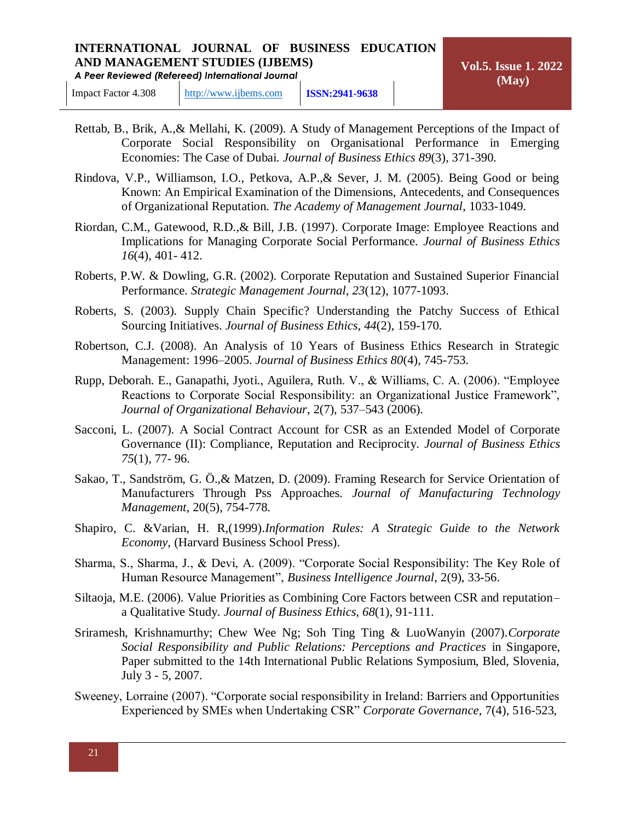*A Peer Reviewed (Refereed) International Journal*

- Rettab, B., Brik, A.,& Mellahi, K. (2009). A Study of Management Perceptions of the Impact of Corporate Social Responsibility on Organisational Performance in Emerging Economies: The Case of Dubai. *Journal of Business Ethics 89*(3), 371-390.
- Rindova, V.P., Williamson, I.O., Petkova, A.P.,& Sever, J. M. (2005). Being Good or being Known: An Empirical Examination of the Dimensions, Antecedents, and Consequences of Organizational Reputation. *The Academy of Management Journal*, 1033-1049.
- Riordan, C.M., Gatewood, R.D.,& Bill, J.B. (1997). Corporate Image: Employee Reactions and Implications for Managing Corporate Social Performance. *Journal of Business Ethics 16*(4), 401- 412.
- Roberts, P.W. & Dowling, G.R. (2002). Corporate Reputation and Sustained Superior Financial Performance. *Strategic Management Journal, 23*(12), 1077-1093.
- Roberts, S. (2003). Supply Chain Specific? Understanding the Patchy Success of Ethical Sourcing Initiatives. *Journal of Business Ethics, 44*(2), 159-170.
- Robertson, C.J. (2008). An Analysis of 10 Years of Business Ethics Research in Strategic Management: 1996–2005. *Journal of Business Ethics 80*(4), 745-753.
- Rupp, Deborah. E., Ganapathi, Jyoti., Aguilera, Ruth. V., & Williams, C. A. (2006). "Employee Reactions to Corporate Social Responsibility: an Organizational Justice Framework", *Journal of Organizational Behaviour*, 2(7), 537–543 (2006).
- Sacconi, L. (2007). A Social Contract Account for CSR as an Extended Model of Corporate Governance (II): Compliance, Reputation and Reciprocity. *Journal of Business Ethics 75*(1), 77- 96.
- Sakao, T., Sandström, G. Ö.,& Matzen, D. (2009). Framing Research for Service Orientation of Manufacturers Through Pss Approaches. *Journal of Manufacturing Technology Management*, 20(5), 754-778.
- Shapiro, C. &Varian, H. R,(1999).*Information Rules: A Strategic Guide to the Network Economy*, (Harvard Business School Press).
- Sharma, S., Sharma, J., & Devi, A. (2009). "Corporate Social Responsibility: The Key Role of Human Resource Management", *Business Intelligence Journal*, 2(9), 33-56.
- Siltaoja, M.E. (2006). Value Priorities as Combining Core Factors between CSR and reputation– a Qualitative Study. *Journal of Business Ethics, 68*(1), 91-111.
- Sriramesh, Krishnamurthy; Chew Wee Ng; Soh Ting Ting & LuoWanyin (2007).*Corporate Social Responsibility and Public Relations: Perceptions and Practices* in Singapore, Paper submitted to the 14th International Public Relations Symposium, Bled, Slovenia, July 3 - 5, 2007.
- Sweeney, Lorraine (2007). "Corporate social responsibility in Ireland: Barriers and Opportunities Experienced by SMEs when Undertaking CSR" *Corporate Governance*, 7(4), 516-523,